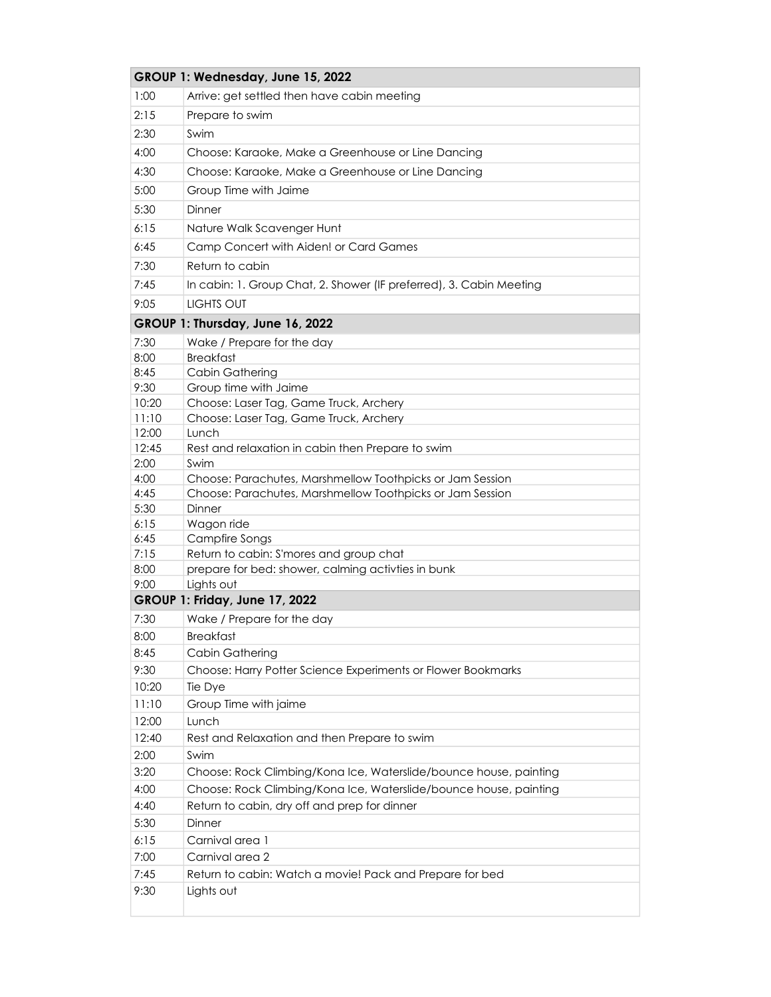|               | GROUP 1: Wednesday, June 15, 2022                                   |
|---------------|---------------------------------------------------------------------|
| 1:00          | Arrive: get settled then have cabin meeting                         |
| 2:15          | Prepare to swim                                                     |
| 2:30          | Swim                                                                |
| 4:00          | Choose: Karaoke, Make a Greenhouse or Line Dancing                  |
| 4:30          | Choose: Karaoke, Make a Greenhouse or Line Dancing                  |
|               |                                                                     |
| 5:00          | Group Time with Jaime                                               |
| 5:30          | Dinner                                                              |
| 6:15          | Nature Walk Scavenger Hunt                                          |
| 6:45          | Camp Concert with Aiden! or Card Games                              |
| 7:30          | Return to cabin                                                     |
| 7:45          | In cabin: 1. Group Chat, 2. Shower (IF preferred), 3. Cabin Meeting |
| 9:05          | <b>LIGHTS OUT</b>                                                   |
|               | GROUP 1: Thursday, June 16, 2022                                    |
| 7:30          | Wake / Prepare for the day                                          |
| 8:00          | <b>Breakfast</b>                                                    |
| 8:45          | Cabin Gathering                                                     |
| 9:30          | Group time with Jaime                                               |
| 10:20         | Choose: Laser Tag, Game Truck, Archery                              |
| 11:10         | Choose: Laser Tag, Game Truck, Archery                              |
| 12:00         | Lunch                                                               |
| 12:45<br>2:00 | Rest and relaxation in cabin then Prepare to swim<br>Swim           |
| 4:00          | Choose: Parachutes, Marshmellow Toothpicks or Jam Session           |
| 4:45          | Choose: Parachutes, Marshmellow Toothpicks or Jam Session           |
| 5:30          | Dinner                                                              |
| 6:15          | Wagon ride                                                          |
| 6:45          | <b>Campfire Songs</b>                                               |
| 7:15          | Return to cabin: S'mores and group chat                             |
| 8:00          | prepare for bed: shower, calming activties in bunk                  |
| 9:00          | Lights out<br><b>GROUP 1: Friday, June 17, 2022</b>                 |
|               |                                                                     |
| 7:30          | Wake / Prepare for the day                                          |
| 8:00<br>8:45  | Breakfast                                                           |
|               | Cabin Gathering                                                     |
| 9:30<br>10:20 | Choose: Harry Potter Science Experiments or Flower Bookmarks        |
| 11:10         | Tie Dye<br>Group Time with jaime                                    |
| 12:00         | Lunch                                                               |
| 12:40         | Rest and Relaxation and then Prepare to swim                        |
| 2:00          | Swim                                                                |
| 3:20          | Choose: Rock Climbing/Kona Ice, Waterslide/bounce house, painting   |
| 4:00          | Choose: Rock Climbing/Kona Ice, Waterslide/bounce house, painting   |
| 4:40          | Return to cabin, dry off and prep for dinner                        |
| 5:30          | Dinner                                                              |
| 6:15          | Carnival area 1                                                     |
| 7:00          | Carnival area 2                                                     |
| 7:45          | Return to cabin: Watch a movie! Pack and Prepare for bed            |
| 9:30          | Lights out                                                          |
|               |                                                                     |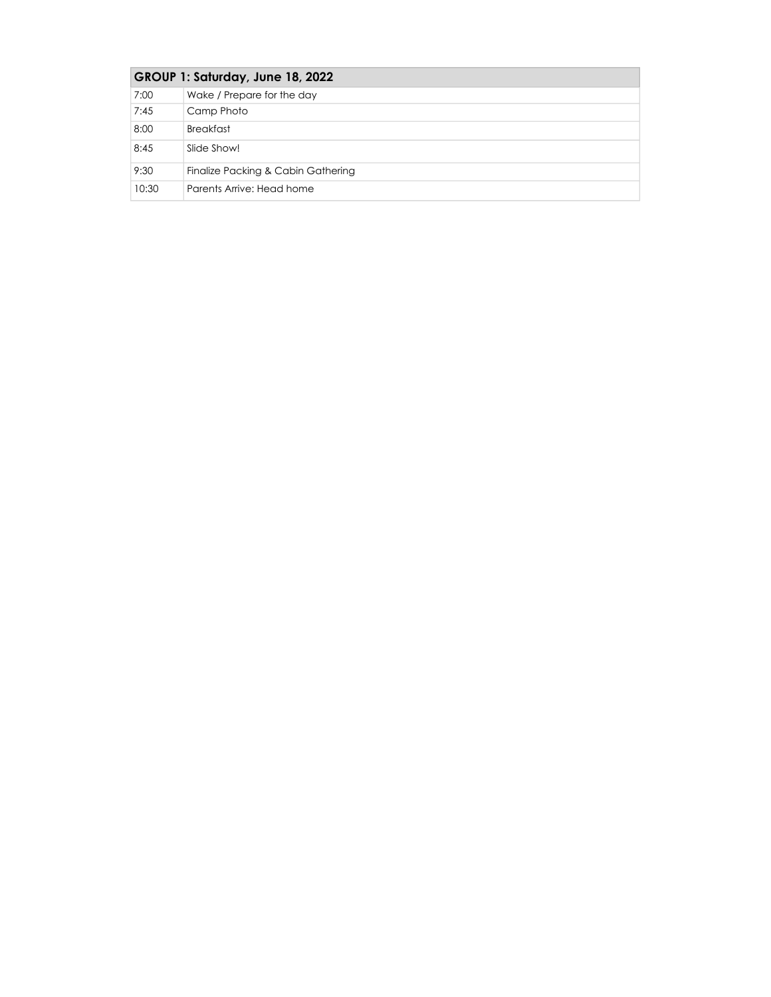| GROUP 1: Saturday, June 18, 2022 |                                    |
|----------------------------------|------------------------------------|
| 7:00                             | Wake / Prepare for the day         |
| 7:45                             | Camp Photo                         |
| 8:00                             | <b>Breakfast</b>                   |
| 8:45                             | Slide Show!                        |
| 9:30                             | Finalize Packing & Cabin Gathering |
| 10:30                            | Parents Arrive: Head home          |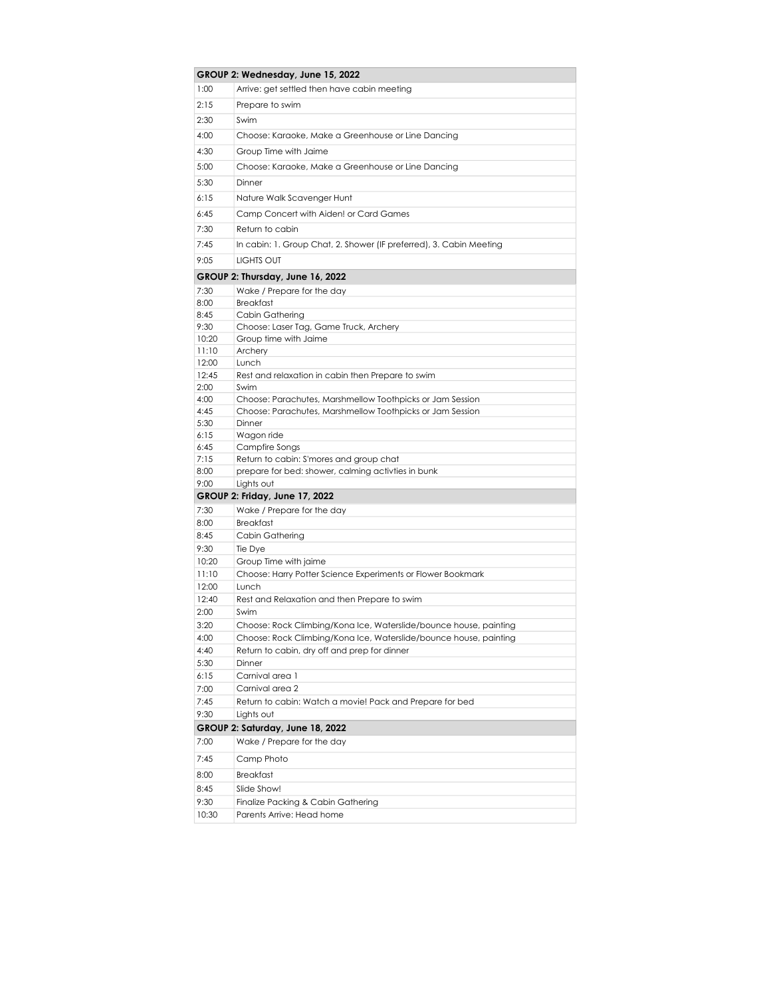|              | GROUP 2: Wednesday, June 15, 2022                                                                                      |
|--------------|------------------------------------------------------------------------------------------------------------------------|
| 1:00         | Arrive: get settled then have cabin meeting                                                                            |
| 2:15         | Prepare to swim                                                                                                        |
| 2:30         | Swim                                                                                                                   |
| 4:00         | Choose: Karaoke, Make a Greenhouse or Line Dancing                                                                     |
|              |                                                                                                                        |
| 4:30         | Group Time with Jaime                                                                                                  |
| 5:00         | Choose: Karaoke, Make a Greenhouse or Line Dancing                                                                     |
| 5:30         | Dinner                                                                                                                 |
| 6:15         | Nature Walk Scavenger Hunt                                                                                             |
| 6:45         | Camp Concert with Aiden! or Card Games                                                                                 |
| 7:30         | Return to cabin                                                                                                        |
| 7:45         | In cabin: 1. Group Chat, 2. Shower (IF preferred), 3. Cabin Meeting                                                    |
| 9:05         | <b>LIGHTS OUT</b>                                                                                                      |
|              |                                                                                                                        |
|              | GROUP 2: Thursday, June 16, 2022                                                                                       |
| 7:30         | Wake / Prepare for the day<br><b>Breakfast</b>                                                                         |
| 8:00<br>8:45 | Cabin Gathering                                                                                                        |
| 9:30         | Choose: Laser Tag, Game Truck, Archery                                                                                 |
| 10:20        | Group time with Jaime                                                                                                  |
| 11:10        | Archery                                                                                                                |
| 12:00        | Lunch                                                                                                                  |
| 12:45        | Rest and relaxation in cabin then Prepare to swim                                                                      |
| 2:00         | Swim                                                                                                                   |
| 4:00<br>4:45 | Choose: Parachutes, Marshmellow Toothpicks or Jam Session<br>Choose: Parachutes, Marshmellow Toothpicks or Jam Session |
| 5:30         | Dinner                                                                                                                 |
| 6:15         | Wagon ride                                                                                                             |
| 6:45         | Campfire Songs                                                                                                         |
| 7:15         | Return to cabin: S'mores and group chat                                                                                |
| 8:00         | prepare for bed: shower, calming activites in bunk                                                                     |
| 9:00         | Lights out                                                                                                             |
|              | <b>GROUP 2: Friday, June 17, 2022</b>                                                                                  |
| 7:30         | Wake / Prepare for the day                                                                                             |
| 8:00         | <b>Breakfast</b>                                                                                                       |
| 8:45<br>9:30 | Cabin Gathering<br>Tie Dye                                                                                             |
| 10:20        | Group Time with jaime                                                                                                  |
| 11:10        | Choose: Harry Potter Science Experiments or Flower Bookmark                                                            |
| 12:00        | Lunch                                                                                                                  |
| 12:40        | Rest and Relaxation and then Prepare to swim                                                                           |
| 2:00         | Swim                                                                                                                   |
| 3:20         | Choose: Rock Climbing/Kona Ice, Waterslide/bounce house, painting                                                      |
| 4:00         | Choose: Rock Climbing/Kona Ice, Waterslide/bounce house, painting                                                      |
| 4:40         | Return to cabin, dry off and prep for dinner                                                                           |
| 5:30         | Dinner                                                                                                                 |
| 6:15         | Carnival area 1                                                                                                        |
| 7:00<br>7:45 | Carnival area 2<br>Return to cabin: Watch a movie! Pack and Prepare for bed                                            |
| 9:30         | Lights out                                                                                                             |
|              | GROUP 2: Saturday, June 18, 2022                                                                                       |
| 7:00         | Wake / Prepare for the day                                                                                             |
| 7:45         | Camp Photo                                                                                                             |
| 8:00         | <b>Breakfast</b>                                                                                                       |
| 8:45         | Slide Show!                                                                                                            |
| 9:30         | Finalize Packing & Cabin Gathering                                                                                     |
| 10:30        | Parents Arrive: Head home                                                                                              |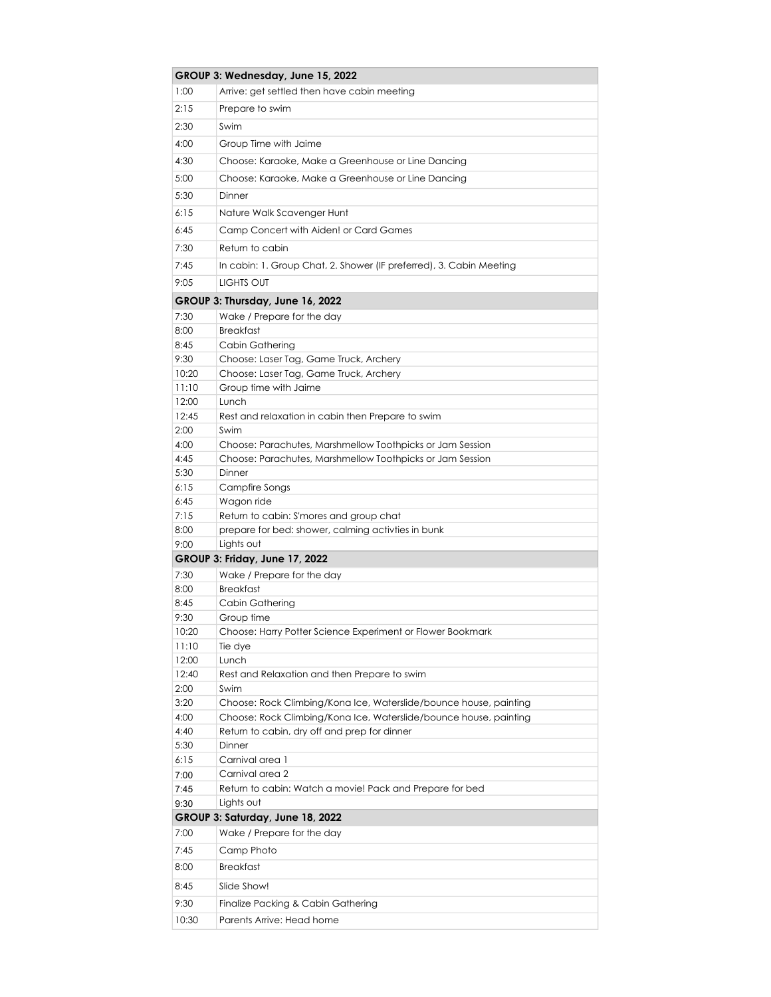|                    | GROUP 3: Wednesday, June 15, 2022                                   |  |
|--------------------|---------------------------------------------------------------------|--|
| 1:00               | Arrive: get settled then have cabin meeting                         |  |
| 2:15               | Prepare to swim                                                     |  |
| 2:30               | Swim                                                                |  |
| 4:00               | Group Time with Jaime                                               |  |
|                    |                                                                     |  |
| 4:30               | Choose: Karaoke, Make a Greenhouse or Line Dancing                  |  |
| 5:00               | Choose: Karaoke, Make a Greenhouse or Line Dancing                  |  |
| 5:30               | Dinner                                                              |  |
| 6:15               | Nature Walk Scavenger Hunt                                          |  |
| 6:45               | Camp Concert with Aiden! or Card Games                              |  |
| 7:30               | Return to cabin                                                     |  |
| 7:45               | In cabin: 1. Group Chat, 2. Shower (IF preferred), 3. Cabin Meeting |  |
| 9:05               | LIGHTS OUT                                                          |  |
|                    |                                                                     |  |
|                    | GROUP 3: Thursday, June 16, 2022                                    |  |
| 7:30               | Wake / Prepare for the day                                          |  |
| 8:00               | <b>Breakfast</b>                                                    |  |
| 8:45<br>9:30       | Cabin Gathering<br>Choose: Laser Tag, Game Truck, Archery           |  |
| 10:20              | Choose: Laser Tag, Game Truck, Archery                              |  |
| 11:10              | Group time with Jaime                                               |  |
| 12:00              | Lunch                                                               |  |
| 12:45              | Rest and relaxation in cabin then Prepare to swim                   |  |
| 2:00               | Swim                                                                |  |
| 4:00               | Choose: Parachutes, Marshmellow Toothpicks or Jam Session           |  |
| 4:45               | Choose: Parachutes, Marshmellow Toothpicks or Jam Session           |  |
| 5:30               | Dinner                                                              |  |
| 6:15               | Campfire Songs                                                      |  |
| 6:45               | Wagon ride                                                          |  |
| 7:15               | Return to cabin: S'mores and group chat                             |  |
| 8:00               | prepare for bed: shower, calming activites in bunk                  |  |
| 9:00               | Lights out                                                          |  |
|                    | <b>GROUP 3: Friday, June 17, 2022</b>                               |  |
| 7:30               | Wake / Prepare for the day                                          |  |
| 8:00<br>8:45       | <b>Breakfast</b><br>Cabin Gathering                                 |  |
| 9:30               | Group time                                                          |  |
| 10:20              | Choose: Harry Potter Science Experiment or Flower Bookmark          |  |
| 11:10              | Tie dye                                                             |  |
| 12:00              | Lunch                                                               |  |
| 12:40              | Rest and Relaxation and then Prepare to swim                        |  |
| 2:00               | Swim                                                                |  |
| 3:20               | Choose: Rock Climbing/Kona Ice, Waterslide/bounce house, painting   |  |
| 4:00               | Choose: Rock Climbing/Kona Ice, Waterslide/bounce house, painting   |  |
| 4:40               | Return to cabin, dry off and prep for dinner                        |  |
| 5:30               | Dinner                                                              |  |
| 6:15               | Carnival area 1                                                     |  |
| 7:00               | Carnival area 2                                                     |  |
| 7:45               | Return to cabin: Watch a movie! Pack and Prepare for bed            |  |
| Lights out<br>9:30 |                                                                     |  |
|                    | GROUP 3: Saturday, June 18, 2022                                    |  |
| 7:00               | Wake / Prepare for the day                                          |  |
| 7:45               | Camp Photo                                                          |  |
| 8:00               | <b>Breakfast</b>                                                    |  |
| 8:45               | Slide Show!                                                         |  |
| 9:30               | Finalize Packing & Cabin Gathering                                  |  |
| 10:30              | Parents Arrive: Head home                                           |  |
|                    |                                                                     |  |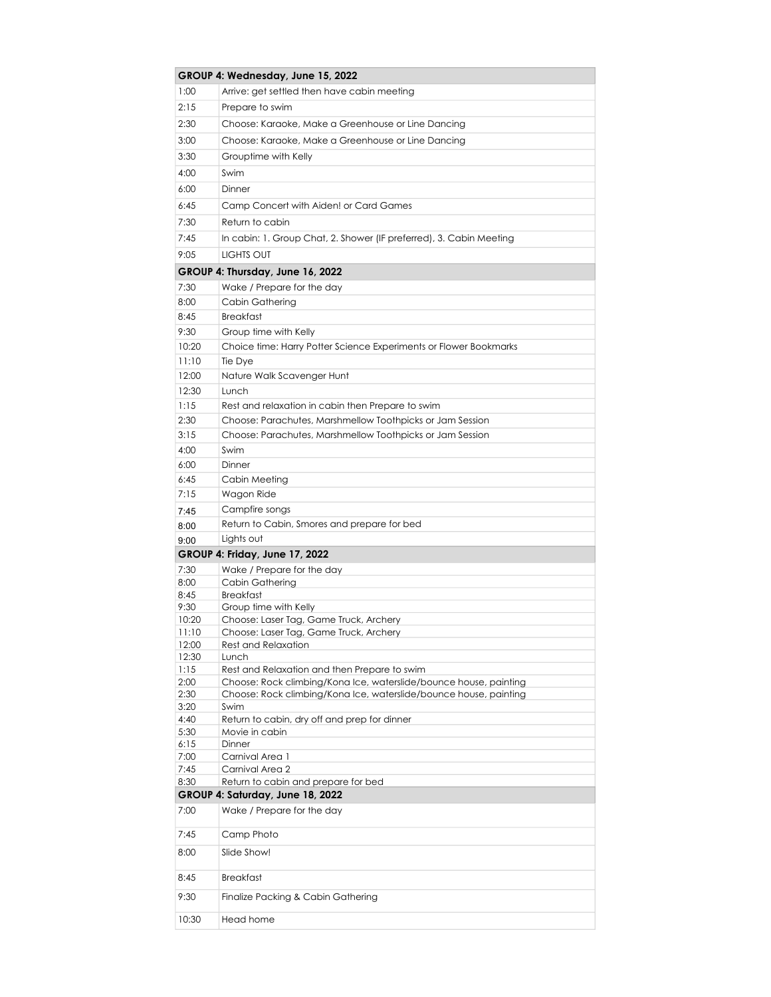|               | GROUP 4: Wednesday, June 15, 2022                                                                                      |
|---------------|------------------------------------------------------------------------------------------------------------------------|
| 1:00          | Arrive: get settled then have cabin meeting                                                                            |
| 2:15          | Prepare to swim                                                                                                        |
| 2:30          | Choose: Karaoke, Make a Greenhouse or Line Dancing                                                                     |
| 3:00          | Choose: Karaoke, Make a Greenhouse or Line Dancing                                                                     |
| 3:30          | Grouptime with Kelly                                                                                                   |
| 4:00          | Swim                                                                                                                   |
| 6:00          | Dinner                                                                                                                 |
| 6:45          | Camp Concert with Aiden! or Card Games                                                                                 |
| 7:30          | Return to cabin                                                                                                        |
|               |                                                                                                                        |
| 7:45          | In cabin: 1. Group Chat, 2. Shower (IF preferred), 3. Cabin Meeting                                                    |
| 9:05          | <b>LIGHTS OUT</b>                                                                                                      |
|               | GROUP 4: Thursday, June 16, 2022                                                                                       |
| 7:30          | Wake / Prepare for the day                                                                                             |
| 8:00          | Cabin Gathering                                                                                                        |
| 8:45          | <b>Breakfast</b>                                                                                                       |
| 9:30          | Group time with Kelly                                                                                                  |
| 10:20         | Choice time: Harry Potter Science Experiments or Flower Bookmarks                                                      |
| 11:10         | Tie Dye                                                                                                                |
| 12:00         | Nature Walk Scavenger Hunt                                                                                             |
| 12:30<br>1:15 | Lunch<br>Rest and relaxation in cabin then Prepare to swim                                                             |
| 2:30          |                                                                                                                        |
| 3:15          | Choose: Parachutes, Marshmellow Toothpicks or Jam Session<br>Choose: Parachutes, Marshmellow Toothpicks or Jam Session |
| 4:00          | Swim                                                                                                                   |
| 6:00          | Dinner                                                                                                                 |
| 6:45          | Cabin Meeting                                                                                                          |
| 7:15          | Wagon Ride                                                                                                             |
| 7:45          | Campfire songs                                                                                                         |
| 8:00          | Return to Cabin, Smores and prepare for bed                                                                            |
| 9:00          | Lights out                                                                                                             |
|               | <b>GROUP 4: Friday, June 17, 2022</b>                                                                                  |
| 7:30          | Wake / Prepare for the day                                                                                             |
| 8:00          | Cabin Gathering                                                                                                        |
| 8:45          | <b>Breakfast</b>                                                                                                       |
| 9:30<br>10:20 | Group time with Kelly<br>Choose: Laser Tag, Game Truck, Archery                                                        |
| 11:10         | Choose: Laser Taa, Game Truck, Archerv                                                                                 |
| 12:00         | <b>Rest and Relaxation</b>                                                                                             |
| 12:30         | Lunch                                                                                                                  |
| 1:15<br>2:00  | Rest and Relaxation and then Prepare to swim<br>Choose: Rock climbing/Kona Ice, waterslide/bounce house, painting      |
| 2:30          | Choose: Rock climbing/Kona Ice, waterslide/bounce house, painting                                                      |
| 3:20          | Swim                                                                                                                   |
| 4:40          | Return to cabin, dry off and prep for dinner                                                                           |
| 5:30          | Movie in cabin                                                                                                         |
| 6:15<br>7:00  | Dinner<br>Carnival Area 1                                                                                              |
| 7:45          | Carnival Area 2                                                                                                        |
| 8:30          | Return to cabin and prepare for bed                                                                                    |
|               | GROUP 4: Saturday, June 18, 2022                                                                                       |
| 7:00          | Wake / Prepare for the day                                                                                             |
| 7:45          | Camp Photo                                                                                                             |
| 8:00          | Slide Show!                                                                                                            |
| 8:45          | <b>Breakfast</b>                                                                                                       |
| 9:30          | Finalize Packing & Cabin Gathering                                                                                     |
| 10:30         | Head home                                                                                                              |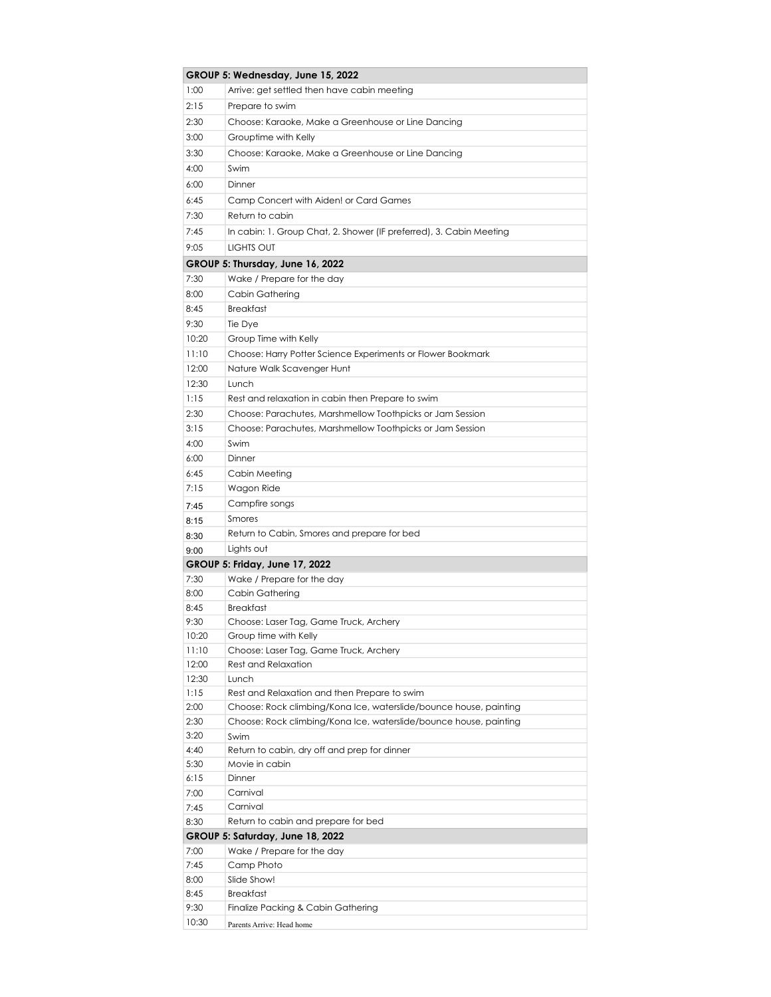|                                  | GROUP 5: Wednesday, June 15, 2022                                   |  |
|----------------------------------|---------------------------------------------------------------------|--|
| 1:00                             | Arrive: get settled then have cabin meeting                         |  |
| 2:15                             | Prepare to swim                                                     |  |
| 2:30                             | Choose: Karaoke, Make a Greenhouse or Line Dancing                  |  |
| 3:00                             | Grouptime with Kelly                                                |  |
| 3:30                             | Choose: Karaoke, Make a Greenhouse or Line Dancing                  |  |
| 4:00                             | Swim                                                                |  |
| 6:00                             | Dinner                                                              |  |
| 6:45                             | Camp Concert with Aiden! or Card Games                              |  |
| 7:30                             | Return to cabin                                                     |  |
| 7:45                             | In cabin: 1. Group Chat, 2. Shower (IF preferred), 3. Cabin Meeting |  |
| 9:05                             | LIGHTS OUT                                                          |  |
|                                  | GROUP 5: Thursday, June 16, 2022                                    |  |
| 7:30                             | Wake / Prepare for the day                                          |  |
| 8:00                             | Cabin Gathering                                                     |  |
| 8:45                             | <b>Breakfast</b>                                                    |  |
| 9:30                             | Tie Dye                                                             |  |
| 10:20                            | Group Time with Kelly                                               |  |
| 11:10                            | Choose: Harry Potter Science Experiments or Flower Bookmark         |  |
| 12:00                            | Nature Walk Scavenger Hunt                                          |  |
| 12:30                            | Lunch                                                               |  |
| 1:15                             | Rest and relaxation in cabin then Prepare to swim                   |  |
| 2:30                             | Choose: Parachutes, Marshmellow Toothpicks or Jam Session           |  |
| 3:15                             | Choose: Parachutes, Marshmellow Toothpicks or Jam Session           |  |
| 4:00                             | Swim                                                                |  |
| 6:00                             | Dinner                                                              |  |
| 6:45                             | Cabin Meeting                                                       |  |
| 7:15                             | Wagon Ride                                                          |  |
| 7:45                             | Campfire songs                                                      |  |
| 8:15                             | Smores                                                              |  |
| 8:30                             | Return to Cabin, Smores and prepare for bed                         |  |
| 9:00                             | Lights out                                                          |  |
|                                  | <b>GROUP 5: Friday, June 17, 2022</b>                               |  |
| 7:30                             | Wake / Prepare for the day                                          |  |
| 8:00                             | Cabin Gathering                                                     |  |
| 8:45                             | <b>Breakfast</b>                                                    |  |
| 9:30                             | Choose: Laser Tag, Game Truck, Archery                              |  |
| 10:20                            | Group time with Kelly                                               |  |
| 11:10                            | Choose: Laser Tag, Game Truck, Archery                              |  |
| 12:00                            | Rest and Relaxation                                                 |  |
| 12:30                            | Lunch                                                               |  |
| 1:15                             | Rest and Relaxation and then Prepare to swim                        |  |
| 2:00                             | Choose: Rock climbing/Kona Ice, waterslide/bounce house, painting   |  |
| 2:30                             | Choose: Rock climbing/Kona Ice, waterslide/bounce house, painting   |  |
| 3:20<br>4:40                     | Swim<br>Return to cabin, dry off and prep for dinner                |  |
| 5:30                             | Movie in cabin                                                      |  |
| 6:15                             | Dinner                                                              |  |
| 7:00                             | Carnival                                                            |  |
| 7:45                             | Carnival                                                            |  |
| 8:30                             | Return to cabin and prepare for bed                                 |  |
| GROUP 5: Saturday, June 18, 2022 |                                                                     |  |
| 7:00                             | Wake / Prepare for the day                                          |  |
| 7:45                             | Camp Photo                                                          |  |
| 8:00                             | Slide Show!                                                         |  |
| 8:45                             | <b>Breakfast</b>                                                    |  |
| 9:30                             | Finalize Packing & Cabin Gathering                                  |  |
| 10:30                            | Parents Arrive: Head home                                           |  |